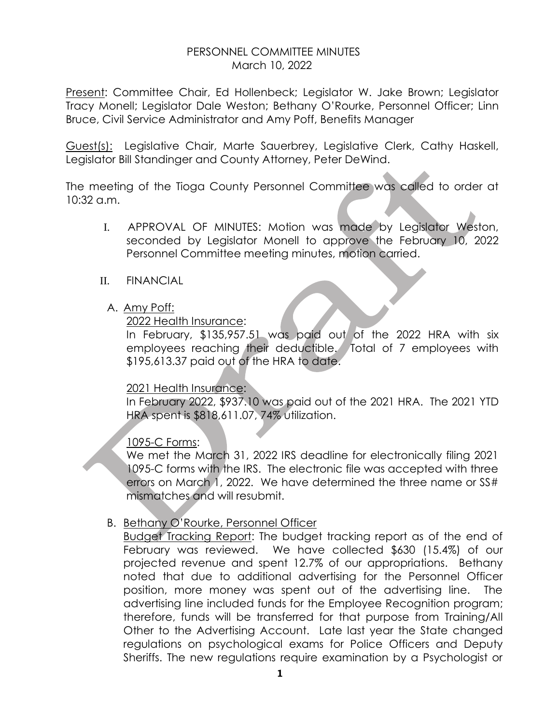### PERSONNEL COMMITTEE MINUTES March 10, 2022

Present: Committee Chair, Ed Hollenbeck; Legislator W. Jake Brown; Legislator Tracy Monell; Legislator Dale Weston; Bethany O'Rourke, Personnel Officer; Linn Bruce, Civil Service Administrator and Amy Poff, Benefits Manager

Guest(s): Legislative Chair, Marte Sauerbrey, Legislative Clerk, Cathy Haskell, Legislator Bill Standinger and County Attorney, Peter DeWind.

The meeting of the Tioga County Personnel Committee was called to order at 10:32 a.m.

- I. APPROVAL OF MINUTES: Motion was made by Legislator Weston, seconded by Legislator Monell to approve the February 10, 2022 Personnel Committee meeting minutes, motion carried.
- II. FINANCIAL
	- A. Amy Poff:

### 2022 Health Insurance:

In February, \$135,957.51 was paid out of the 2022 HRA with six employees reaching their deductible. Total of 7 employees with \$195,613.37 paid out of the HRA to date.

# 2021 Health Insurance:

In February 2022, \$937.10 was paid out of the 2021 HRA. The 2021 YTD HRA spent is \$818,611.07, 74% utilization.

1095-C Forms:

We met the March 31, 2022 IRS deadline for electronically filing 2021 1095-C forms with the IRS. The electronic file was accepted with three errors on March 1, 2022. We have determined the three name or SS# mismatches and will resubmit.

# B. Bethany O'Rourke, Personnel Officer

Budget Tracking Report: The budget tracking report as of the end of February was reviewed. We have collected \$630 (15.4%) of our projected revenue and spent 12.7% of our appropriations. Bethany noted that due to additional advertising for the Personnel Officer position, more money was spent out of the advertising line. The advertising line included funds for the Employee Recognition program; therefore, funds will be transferred for that purpose from Training/All Other to the Advertising Account. Late last year the State changed regulations on psychological exams for Police Officers and Deputy Sheriffs. The new regulations require examination by a Psychologist or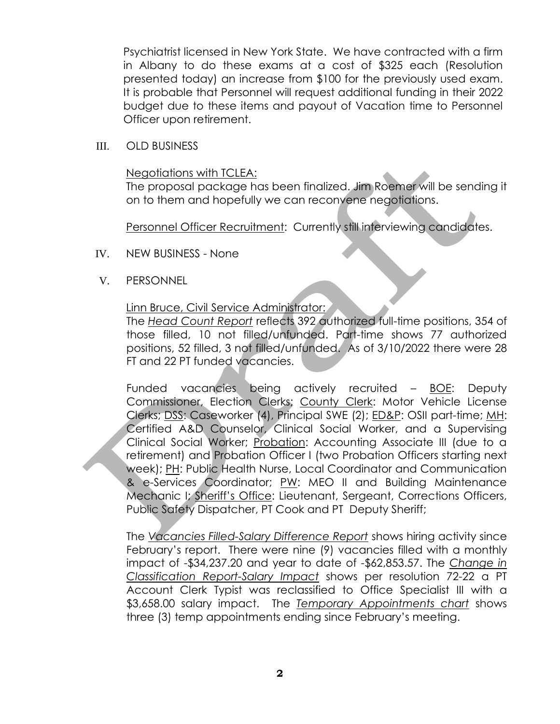Psychiatrist licensed in New York State. We have contracted with a firm in Albany to do these exams at a cost of \$325 each (Resolution presented today) an increase from \$100 for the previously used exam. It is probable that Personnel will request additional funding in their 2022 budget due to these items and payout of Vacation time to Personnel Officer upon retirement.

III. OLD BUSINESS

#### Negotiations with TCLEA:

The proposal package has been finalized. Jim Roemer will be sending it on to them and hopefully we can reconvene negotiations.

Personnel Officer Recruitment: Currently still interviewing candidates.

- IV. NEW BUSINESS None
- V. PERSONNEL

### Linn Bruce, Civil Service Administrator:

The *Head Count Report* reflects 392 authorized full-time positions, 354 of those filled, 10 not filled/unfunded. Part-time shows 77 authorized positions, 52 filled, 3 not filled/unfunded. As of 3/10/2022 there were 28 FT and 22 PT funded vacancies.

Funded vacancies being actively recruited - BOE: Deputy Commissioner, Election Clerks; County Clerk: Motor Vehicle License Clerks; DSS: Caseworker (4), Principal SWE (2); ED&P: OSII part-time; MH: Certified A&D Counselor, Clinical Social Worker, and a Supervising Clinical Social Worker; Probation: Accounting Associate III (due to a retirement) and Probation Officer I (two Probation Officers starting next week); PH: Public Health Nurse, Local Coordinator and Communication & e-Services Coordinator; PW: MEO II and Building Maintenance Mechanic I; Sheriff's Office: Lieutenant, Sergeant, Corrections Officers, Public Safety Dispatcher, PT Cook and PT Deputy Sheriff;

The *Vacancies Filled-Salary Difference Report* shows hiring activity since February's report. There were nine (9) vacancies filled with a monthly impact of -\$34,237.20 and year to date of -\$62,853.57. The *Change in Classification Report-Salary Impact* shows per resolution 72-22 a PT Account Clerk Typist was reclassified to Office Specialist III with a \$3,658.00 salary impact. The *Temporary Appointments chart* shows three (3) temp appointments ending since February's meeting.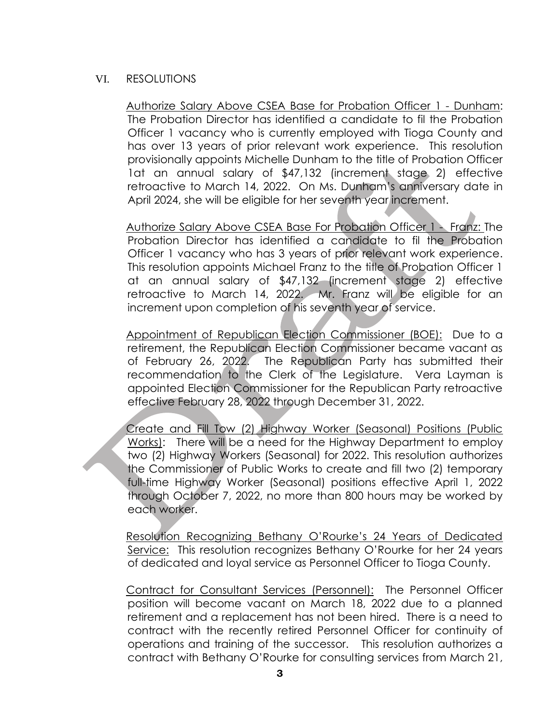### VI. RESOLUTIONS

Authorize Salary Above CSEA Base for Probation Officer 1 - Dunham: The Probation Director has identified a candidate to fil the Probation Officer 1 vacancy who is currently employed with Tioga County and has over 13 years of prior relevant work experience. This resolution provisionally appoints Michelle Dunham to the title of Probation Officer 1at an annual salary of \$47,132 (increment stage 2) effective retroactive to March 14, 2022. On Ms. Dunham's anniversary date in April 2024, she will be eligible for her seventh year increment.

Authorize Salary Above CSEA Base For Probation Officer 1 - Franz: The Probation Director has identified a candidate to fil the Probation Officer 1 vacancy who has 3 years of prior relevant work experience. This resolution appoints Michael Franz to the title of Probation Officer 1 at an annual salary of \$47,132 (increment stage 2) effective retroactive to March 14, 2022. Mr. Franz will be eligible for an increment upon completion of his seventh year of service.

Appointment of Republican Election Commissioner (BOE): Due to a retirement, the Republican Election Commissioner became vacant as of February 26, 2022. The Republican Party has submitted their recommendation to the Clerk of the Legislature. Vera Layman is appointed Election Commissioner for the Republican Party retroactive effective February 28, 2022 through December 31, 2022.

Create and Fill Tow (2) Highway Worker (Seasonal) Positions (Public Works): There will be a need for the Highway Department to employ two (2) Highway Workers (Seasonal) for 2022. This resolution authorizes the Commissioner of Public Works to create and fill two (2) temporary full-time Highway Worker (Seasonal) positions effective April 1, 2022 through October 7, 2022, no more than 800 hours may be worked by each worker.

Resolution Recognizing Bethany O'Rourke's 24 Years of Dedicated Service: This resolution recognizes Bethany O'Rourke for her 24 years of dedicated and loyal service as Personnel Officer to Tioga County.

Contract for Consultant Services (Personnel): The Personnel Officer position will become vacant on March 18, 2022 due to a planned retirement and a replacement has not been hired. There is a need to contract with the recently retired Personnel Officer for continuity of operations and training of the successor. This resolution authorizes a contract with Bethany O'Rourke for consulting services from March 21,